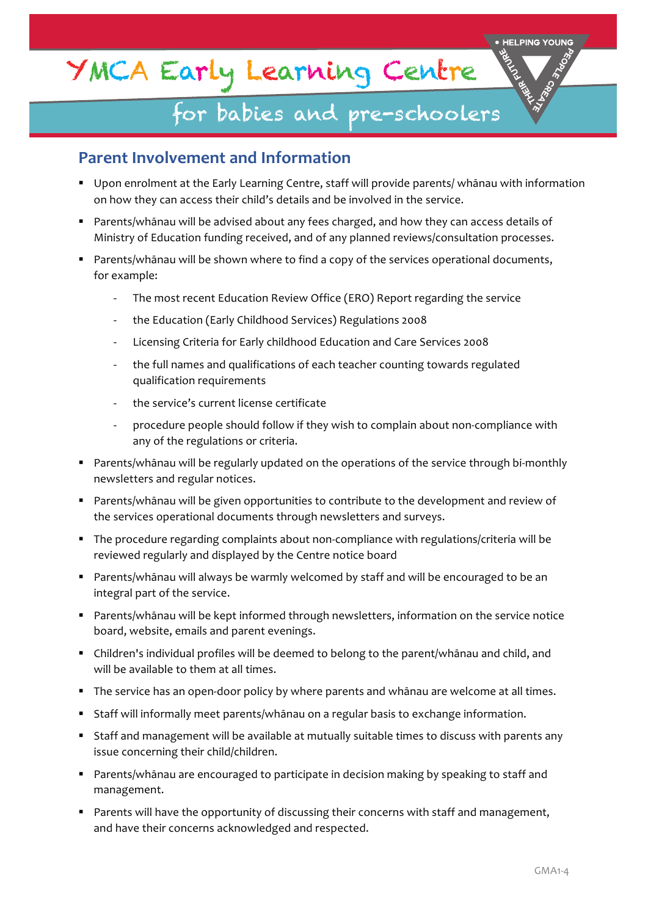# YMCA Early Learning Centre

## for babies and pre-schoolers

### **Parent Involvement and Information**

- Upon enrolment at the Early Learning Centre, staff will provide parents/ whānau with information on how they can access their child's details and be involved in the service.
- Parents/whānau will be advised about any fees charged, and how they can access details of Ministry of Education funding received, and of any planned reviews/consultation processes.
- Parents/whānau will be shown where to find a copy of the services operational documents, for example:
	- The most recent Education Review Office (ERO) Report regarding the service
	- the Education (Early Childhood Services) Regulations 2008
	- Licensing Criteria for Early childhood Education and Care Services 2008
	- the full names and qualifications of each teacher counting towards regulated qualification requirements
	- the service's current license certificate
	- procedure people should follow if they wish to complain about non-compliance with any of the regulations or criteria.
- Parents/whānau will be regularly updated on the operations of the service through bi-monthly newsletters and regular notices.
- Parents/whānau will be given opportunities to contribute to the development and review of the services operational documents through newsletters and surveys.
- The procedure regarding complaints about non-compliance with regulations/criteria will be reviewed regularly and displayed by the Centre notice board
- **•** Parents/whānau will always be warmly welcomed by staff and will be encouraged to be an integral part of the service.
- Parents/whānau will be kept informed through newsletters, information on the service notice board, website, emails and parent evenings.
- Children's individual profiles will be deemed to belong to the parent/whānau and child, and will be available to them at all times.
- The service has an open-door policy by where parents and whānau are welcome at all times.
- **•** Staff will informally meet parents/whānau on a regular basis to exchange information.
- Staff and management will be available at mutually suitable times to discuss with parents any issue concerning their child/children.
- Parents/whānau are encouraged to participate in decision making by speaking to staff and management.
- Parents will have the opportunity of discussing their concerns with staff and management, and have their concerns acknowledged and respected.